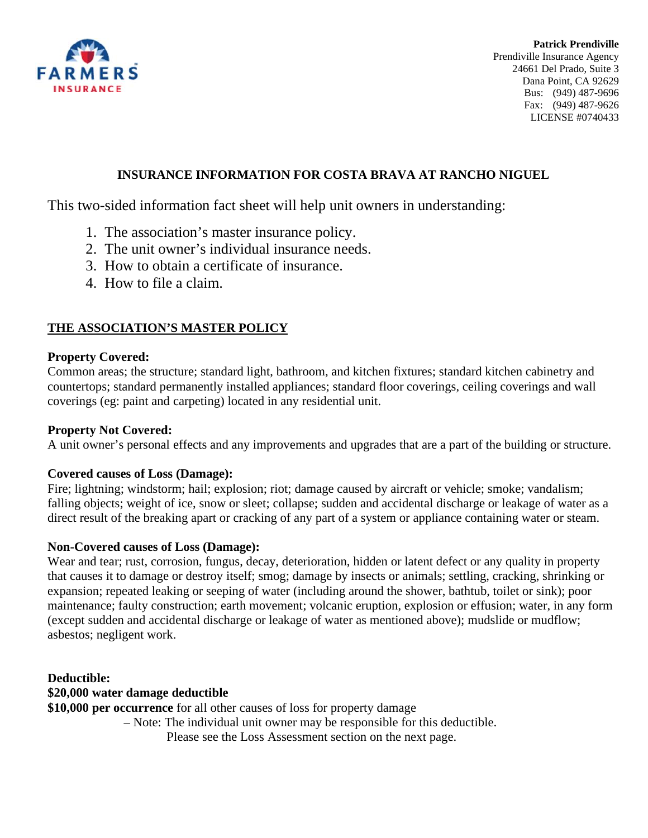

**Patrick Prendiville** Prendiville Insurance Agency 24661 Del Prado, Suite 3 Dana Point, CA 92629 Bus: (949) 487-9696 Fax: (949) 487-9626 LICENSE #0740433

## **INSURANCE INFORMATION FOR COSTA BRAVA AT RANCHO NIGUEL**

This two-sided information fact sheet will help unit owners in understanding:

- 1. The association's master insurance policy.
- 2. The unit owner's individual insurance needs.
- 3. How to obtain a certificate of insurance.
- 4. How to file a claim.

# **THE ASSOCIATION'S MASTER POLICY**

## **Property Covered:**

Common areas; the structure; standard light, bathroom, and kitchen fixtures; standard kitchen cabinetry and countertops; standard permanently installed appliances; standard floor coverings, ceiling coverings and wall coverings (eg: paint and carpeting) located in any residential unit.

## **Property Not Covered:**

A unit owner's personal effects and any improvements and upgrades that are a part of the building or structure.

#### **Covered causes of Loss (Damage):**

Fire; lightning; windstorm; hail; explosion; riot; damage caused by aircraft or vehicle; smoke; vandalism; falling objects; weight of ice, snow or sleet; collapse; sudden and accidental discharge or leakage of water as a direct result of the breaking apart or cracking of any part of a system or appliance containing water or steam.

#### **Non-Covered causes of Loss (Damage):**

Wear and tear; rust, corrosion, fungus, decay, deterioration, hidden or latent defect or any quality in property that causes it to damage or destroy itself; smog; damage by insects or animals; settling, cracking, shrinking or expansion; repeated leaking or seeping of water (including around the shower, bathtub, toilet or sink); poor maintenance; faulty construction; earth movement; volcanic eruption, explosion or effusion; water, in any form (except sudden and accidental discharge or leakage of water as mentioned above); mudslide or mudflow; asbestos; negligent work.

**Deductible: \$20,000 water damage deductible \$10,000 per occurrence** for all other causes of loss for property damage

– Note: The individual unit owner may be responsible for this deductible.

Please see the Loss Assessment section on the next page.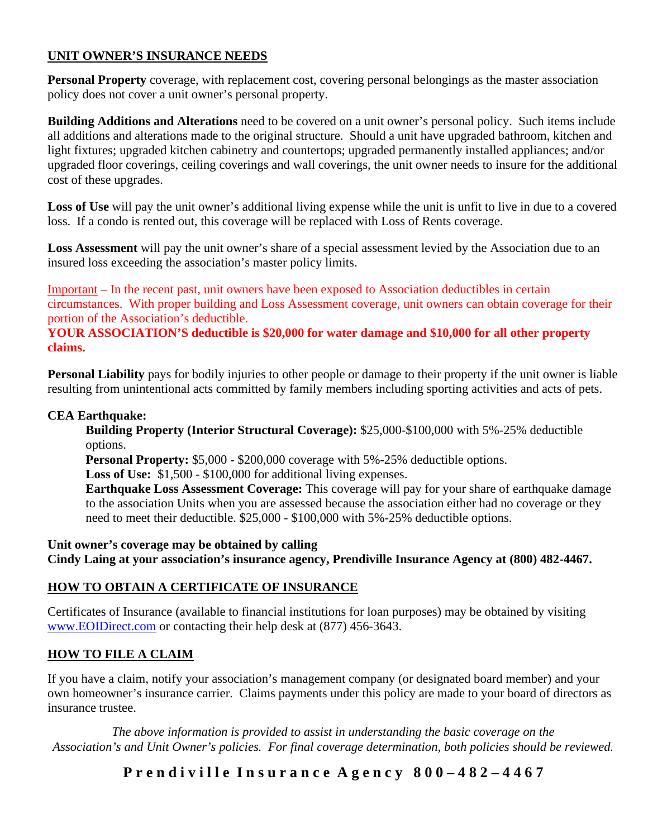# **UNIT OWNER'S INSURANCE NEEDS**

**Personal Property** coverage, with replacement cost, covering personal belongings as the master association policy does not cover a unit owner's personal property.

**Building Additions and Alterations** need to be covered on a unit owner's personal policy. Such items include all additions and alterations made to the original structure. Should a unit have upgraded bathroom, kitchen and light fixtures; upgraded kitchen cabinetry and countertops; upgraded permanently installed appliances; and/or upgraded floor coverings, ceiling coverings and wall coverings, the unit owner needs to insure for the additional cost of these upgrades.

Loss of Use will pay the unit owner's additional living expense while the unit is unfit to live in due to a covered loss. If a condo is rented out, this coverage will be replaced with Loss of Rents coverage.

**Loss Assessment** will pay the unit owner's share of a special assessment levied by the Association due to an insured loss exceeding the association's master policy limits.

Important – In the recent past, unit owners have been exposed to Association deductibles in certain circumstances. With proper building and Loss Assessment coverage, unit owners can obtain coverage for their portion of the Association's deductible.

## **YOUR ASSOCIATION'S deductible is \$20,000 for water damage and \$10,000 for all other property claims.**

**Personal Liability** pays for bodily injuries to other people or damage to their property if the unit owner is liable resulting from unintentional acts committed by family members including sporting activities and acts of pets.

## **CEA Earthquake:**

**Building Property (Interior Structural Coverage):** \$25,000-\$100,000 with 5%-25% deductible options.

**Personal Property:** \$5,000 - \$200,000 coverage with 5%-25% deductible options.

**Loss of Use:** \$1,500 - \$100,000 for additional living expenses.

**Earthquake Loss Assessment Coverage:** This coverage will pay for your share of earthquake damage to the association Units when you are assessed because the association either had no coverage or they need to meet their deductible. \$25,000 - \$100,000 with 5%-25% deductible options.

**Unit owner's coverage may be obtained by calling Cindy Laing at your association's insurance agency, Prendiville Insurance Agency at (800) 482-4467.**

# **HOW TO OBTAIN A CERTIFICATE OF INSURANCE**

Certificates of Insurance (available to financial institutions for loan purposes) may be obtained by visiting [www.EOIDirect.com](http://www.eoidirect.com/) or contacting their help desk at  $(877)$  456-3643.

# **HOW TO FILE A CLAIM**

If you have a claim, notify your association's management company (or designated board member) and your own homeowner's insurance carrier. Claims payments under this policy are made to your board of directors as insurance trustee.

*The above information is provided to assist in understanding the basic coverage on the Association's and Unit Owner's policies. For final coverage determination, both policies should be reviewed.*

**P r e n d i v i l l e I n s u r a n c e A g e n c y 8 0 0 – 4 8 2 – 4 4 6 7**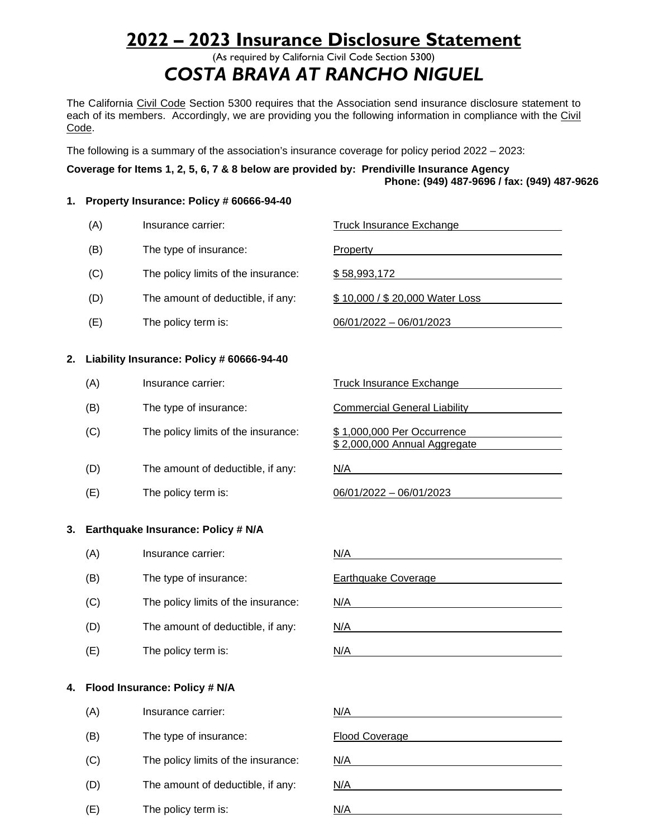# **2022 – 2023 Insurance Disclosure Statement**

(As required by California Civil Code Section 5300) *COSTA BRAVA AT RANCHO NIGUEL*

The California Civil Code Section 5300 requires that the Association send insurance disclosure statement to each of its members. Accordingly, we are providing you the following information in compliance with the Civil Code.

The following is a summary of the association's insurance coverage for policy period 2022 – 2023:

#### **Coverage for Items 1, 2, 5, 6, 7 & 8 below are provided by: Prendiville Insurance Agency Phone: (949) 487-9696 / fax: (949) 487-9626**

#### **1. Property Insurance: Policy # 60666-94-40**

|    | (A) | Insurance carrier:                        | <b>Truck Insurance Exchange</b>                            |
|----|-----|-------------------------------------------|------------------------------------------------------------|
|    | (B) | The type of insurance:                    | <b>Property</b>                                            |
|    | (C) | The policy limits of the insurance:       | \$58,993,172                                               |
|    | (D) | The amount of deductible, if any:         | \$10,000 / \$20,000 Water Loss                             |
|    | (E) | The policy term is:                       | 06/01/2022 - 06/01/2023                                    |
| 2. |     | Liability Insurance: Policy # 60666-94-40 |                                                            |
|    | (A) | Insurance carrier:                        | Truck Insurance Exchange                                   |
|    | (B) | The type of insurance:                    | <b>Commercial General Liability</b>                        |
|    | (C) | The policy limits of the insurance:       | \$1,000,000 Per Occurrence<br>\$2,000,000 Annual Aggregate |
|    | (D) | The amount of deductible, if any:         | N/A                                                        |
|    | (E) | The policy term is:                       | 06/01/2022 - 06/01/2023                                    |
| 3. |     | Earthquake Insurance: Policy # N/A        |                                                            |
|    | (A) | Insurance carrier:                        | N/A                                                        |
|    | (B) | The type of insurance:                    | <b>Earthquake Coverage</b>                                 |
|    | (C) | The policy limits of the insurance:       | N/A                                                        |
|    | (D) | The amount of deductible, if any:         | N/A                                                        |

 $(E)$  The policy term is:  $N/A$ 

**4. Flood Insurance: Policy # N/A**

| (A) | Insurance carrier:                  | N/A                   |
|-----|-------------------------------------|-----------------------|
| (B) | The type of insurance:              | <b>Flood Coverage</b> |
| (C) | The policy limits of the insurance: | N/A                   |
| (D) | The amount of deductible, if any:   | N/A                   |
| (E) | The policy term is:                 | N/A                   |